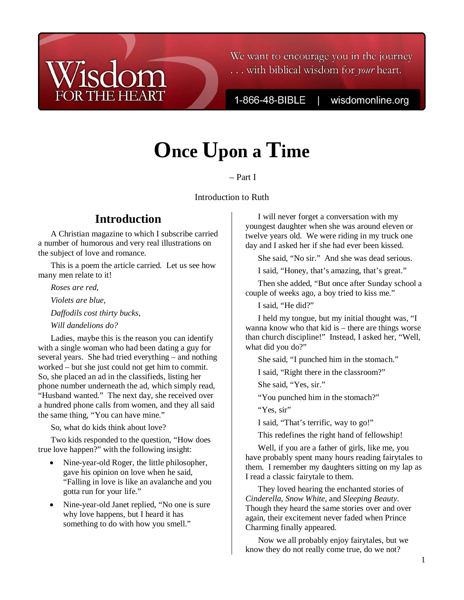### We want to encourage you in the journey ... with biblical wisdom for your heart.

1-866-48-BIBLE

wisdomonline.org

# **Once Upon a Time**

Ruth – Part I

Introduction to Ruth

## **Introduction**

**THE HEART** 

A Christian magazine to which I subscribe carried a number of humorous and very real illustrations on the subject of love and romance.

This is a poem the article carried. Let us see how many men relate to it!

*Roses are red,* 

*Violets are blue,* 

*Daffodils cost thirty bucks,* 

*Will dandelions do?* 

Ladies, maybe this is the reason you can identify with a single woman who had been dating a guy for several years. She had tried everything – and nothing worked – but she just could not get him to commit. So, she placed an ad in the classifieds, listing her phone number underneath the ad, which simply read, "Husband wanted." The next day, she received over a hundred phone calls from women, and they all said the same thing, "You can have mine."

So, what do kids think about love?

Two kids responded to the question, "How does true love happen?" with the following insight:

- Nine-year-old Roger, the little philosopher, gave his opinion on love when he said, "Falling in love is like an avalanche and you gotta run for your life."
- Nine-year-old Janet replied, "No one is sure why love happens, but I heard it has something to do with how you smell."

I will never forget a conversation with my youngest daughter when she was around eleven or twelve years old. We were riding in my truck one day and I asked her if she had ever been kissed.

She said, "No sir." And she was dead serious.

I said, "Honey, that's amazing, that's great."

Then she added, "But once after Sunday school a couple of weeks ago, a boy tried to kiss me."

I said, "He did?"

I held my tongue, but my initial thought was, "I wanna know who that kid is – there are things worse than church discipline!" Instead, I asked her, "Well, what did you do?"

She said, "I punched him in the stomach."

I said, "Right there in the classroom?"

She said, "Yes, sir."

"You punched him in the stomach?"

"Yes, sir"

I said, "That's terrific, way to go!"

This redefines the right hand of fellowship!

Well, if you are a father of girls, like me, you have probably spent many hours reading fairytales to them. I remember my daughters sitting on my lap as I read a classic fairytale to them.

They loved hearing the enchanted stories of *Cinderella*, *Snow White*, and *Sleeping Beauty*. Though they heard the same stories over and over again, their excitement never faded when Prince Charming finally appeared.

Now we all probably enjoy fairytales, but we know they do not really come true, do we not?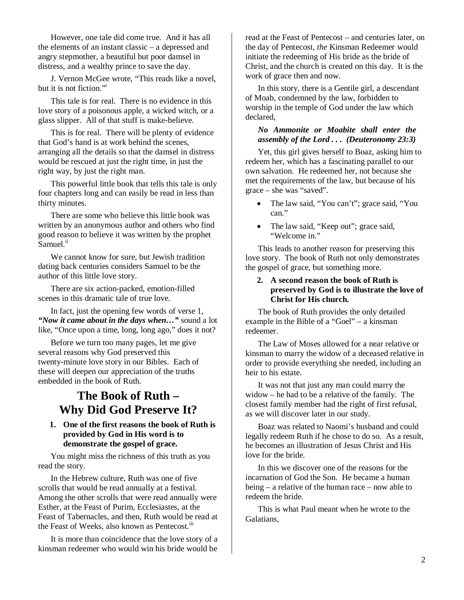However, one tale did come true. And it has all the elements of an instant classic – a depressed and angry stepmother, a beautiful but poor damsel in distress, and a wealthy prince to save the day.

J. Vernon McGee wrote, "This reads like a novel, but it is not fiction."<sup>i</sup>

This tale is for real. There is no evidence in this love story of a poisonous apple, a wicked witch, or a glass slipper. All of that stuff is make-believe.

This is for real. There will be plenty of evidence that God's hand is at work behind the scenes, arranging all the details so that the damsel in distress would be rescued at just the right time, in just the right way, by just the right man.

This powerful little book that tells this tale is only four chapters long and can easily be read in less than thirty minutes.

There are some who believe this little book was written by an anonymous author and others who find good reason to believe it was written by the prophet Samuel.<sup>ii</sup>

We cannot know for sure, but Jewish tradition dating back centuries considers Samuel to be the author of this little love story.

There are six action-packed, emotion-filled scenes in this dramatic tale of true love.

In fact, just the opening few words of verse 1, *"Now it came about in the days when…"* sound a lot like, "Once upon a time, long, long ago," does it not?

Before we turn too many pages, let me give several reasons why God preserved this twenty-minute love story in our Bibles. Each of these will deepen our appreciation of the truths embedded in the book of Ruth.

## **The Book of Ruth – Why Did God Preserve It?**

#### **1. One of the first reasons the book of Ruth is provided by God in His word is to demonstrate the gospel of grace.**

You might miss the richness of this truth as you read the story.

In the Hebrew culture, Ruth was one of five scrolls that would be read annually at a festival. Among the other scrolls that were read annually were Esther, at the Feast of Purim, Ecclesiastes, at the Feast of Tabernacles, and then, Ruth would be read at the Feast of Weeks, also known as Pentecost.<sup>111</sup>

It is more than coincidence that the love story of a kinsman redeemer who would win his bride would be read at the Feast of Pentecost – and centuries later, on the day of Pentecost, *the* Kinsman Redeemer would initiate the redeeming of His bride as the bride of Christ, and the church is created on this day. It is the work of grace then and now.

In this story, there is a Gentile girl, a descendant of Moab, condemned by the law, forbidden to worship in the temple of God under the law which declared,

#### *No Ammonite or Moabite shall enter the assembly of the Lord . . . (Deuteronomy 23:3)*

Yet, this girl gives herself to Boaz, asking him to redeem her, which has a fascinating parallel to our own salvation. He redeemed her, not because she met the requirements of the law, but because of his grace – she was "saved".

- The law said, "You can't"; grace said, "You can."
- The law said, "Keep out"; grace said, "Welcome in."

This leads to another reason for preserving this love story. The book of Ruth not only demonstrates the gospel of grace, but something more.

#### **2. A second reason the book of Ruth is preserved by God is to illustrate the love of Christ for His church.**

The book of Ruth provides the only detailed example in the Bible of a "Goel" – a kinsman redeemer.

The Law of Moses allowed for a near relative or kinsman to marry the widow of a deceased relative in order to provide everything she needed, including an heir to his estate.

It was not that just any man could marry the widow – he had to be a relative of the family. The closest family member had the right of first refusal, as we will discover later in our study.

Boaz was related to Naomi's husband and could legally redeem Ruth if he chose to do so. As a result, he becomes an illustration of Jesus Christ and His love for the bride.

In this we discover one of the reasons for the incarnation of God the Son. He became a human being – a relative of the human race – now able to redeem the bride.

This is what Paul meant when he wrote to the Galatians,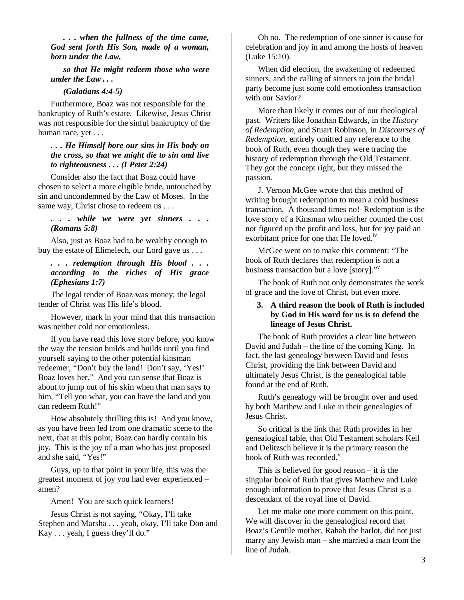*. . . when the fullness of the time came, God sent forth His Son, made of a woman, born under the Law,* 

*so that He might redeem those who were under the Law . . .* 

#### *(Galatians 4:4-5)*

Furthermore, Boaz was not responsible for the bankruptcy of Ruth's estate. Likewise, Jesus Christ was not responsible for the sinful bankruptcy of the human race, yet . . .

#### *. . . He Himself bore our sins in His body on the cross, so that we might die to sin and live to righteousness . . . (I Peter 2:24)*

Consider also the fact that Boaz could have chosen to select a more eligible bride, untouched by sin and uncondemned by the Law of Moses. In the same way, Christ chose to redeem us . . .

#### *. . . while we were yet sinners . . . (Romans 5:8)*

Also, just as Boaz had to be wealthy enough to buy the estate of Elimelech, our Lord gave us . . .

#### *. . . redemption through His blood . . . according to the riches of His grace (Ephesians 1:7)*

The legal tender of Boaz was money; the legal tender of Christ was His life's blood.

However, mark in your mind that this transaction was neither cold nor emotionless.

If you have read this love story before, you know the way the tension builds and builds until you find yourself saying to the other potential kinsman redeemer, "Don't buy the land! Don't say, 'Yes!' Boaz loves her." And you can sense that Boaz is about to jump out of his skin when that man says to him, "Tell you what, you can have the land and you can redeem Ruth!"

How absolutely thrilling this is! And you know, as you have been led from one dramatic scene to the next, that at this point, Boaz can hardly contain his joy. This is the joy of a man who has just proposed and she said, "Yes!"

Guys, up to that point in your life, this was the greatest moment of joy you had ever experienced – amen?

Amen! You are such quick learners!

Jesus Christ is not saying, "Okay, I'll take Stephen and Marsha . . . yeah, okay, I'll take Don and Kay . . . yeah, I guess they'll do."

Oh no. The redemption of one sinner is cause for celebration and joy in and among the hosts of heaven (Luke 15:10).

When did election, the awakening of redeemed sinners, and the calling of sinners to join the bridal party become just some cold emotionless transaction with our Savior?

More than likely it comes out of our theological past. Writers like Jonathan Edwards, in the *History of Redemption*, and Stuart Robinson, in *Discourses of Redemption*, entirely omitted any reference to the book of Ruth, even though they were tracing the history of redemption through the Old Testament. They got the concept right, but they missed the passion.

J. Vernon McGee wrote that this method of writing brought redemption to mean a cold business transaction. A thousand times no! Redemption is the love story of a Kinsman who neither counted the cost nor figured up the profit and loss, but for joy paid an exorbitant price for one that He loved.<sup>iv</sup>

McGee went on to make this comment: "The book of Ruth declares that redemption is not a business transaction but a love [story]."<sup>v</sup>

The book of Ruth not only demonstrates the work of grace and the love of Christ, but even more.

#### **3. A third reason the book of Ruth is included by God in His word for us is to defend the lineage of Jesus Christ.**

The book of Ruth provides a clear line between David and Judah – the line of the coming King. In fact, the last genealogy between David and Jesus Christ, providing the link between David and ultimately Jesus Christ, is the genealogical table found at the end of Ruth.

Ruth's genealogy will be brought over and used by both Matthew and Luke in their genealogies of Jesus Christ.

So critical is the link that Ruth provides in her genealogical table, that Old Testament scholars Keil and Delitzsch believe it is the primary reason the book of Ruth was recorded.<sup>vi</sup>

This is believed for good reason – it is the singular book of Ruth that gives Matthew and Luke enough information to prove that Jesus Christ is a descendant of the royal line of David.

Let me make one more comment on this point. We will discover in the genealogical record that Boaz's Gentile mother, Rahab the harlot, did not just marry any Jewish man – she married a man from the line of Judah.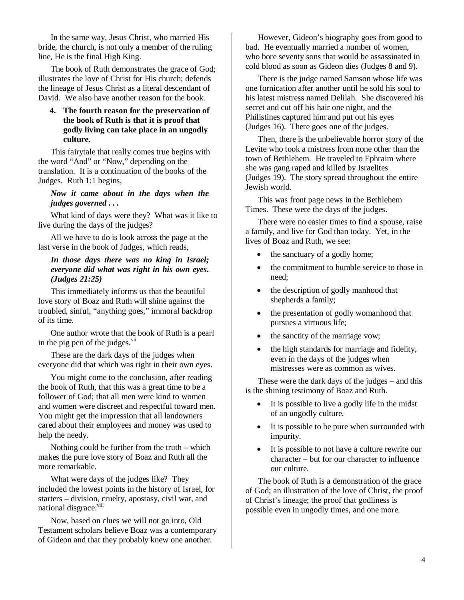In the same way, Jesus Christ, who married His bride, the church, is not only a member of the ruling line, He is the final High King.

The book of Ruth demonstrates the grace of God; illustrates the love of Christ for His church; defends the lineage of Jesus Christ as a literal descendant of David. We also have another reason for the book.

#### **4. The fourth reason for the preservation of the book of Ruth is that it is proof that godly living can take place in an ungodly culture.**

This fairytale that really comes true begins with the word "And" or "Now," depending on the translation. It is a continuation of the books of the Judges. Ruth 1:1 begins,

#### *Now it came about in the days when the judges governed . . .*

What kind of days were they? What was it like to live during the days of the judges?

All we have to do is look across the page at the last verse in the book of Judges, which reads,

#### *In those days there was no king in Israel; everyone did what was right in his own eyes. (Judges 21:25)*

This immediately informs us that the beautiful love story of Boaz and Ruth will shine against the troubled, sinful, "anything goes," immoral backdrop of its time.

One author wrote that the book of Ruth is a pearl in the pig pen of the judges. $\frac{v}{u}$ 

These are the dark days of the judges when everyone did that which was right in their own eyes.

You might come to the conclusion, after reading the book of Ruth, that this was a great time to be a follower of God; that all men were kind to women and women were discreet and respectful toward men. You might get the impression that all landowners cared about their employees and money was used to help the needy.

Nothing could be further from the truth – which makes the pure love story of Boaz and Ruth all the more remarkable.

What were days of the judges like? They included the lowest points in the history of Israel, for starters – division, cruelty, apostasy, civil war, and national disgrace.<sup>viii</sup>

Now, based on clues we will not go into, Old Testament scholars believe Boaz was a contemporary of Gideon and that they probably knew one another.

However, Gideon's biography goes from good to bad. He eventually married a number of women, who bore seventy sons that would be assassinated in cold blood as soon as Gideon dies (Judges 8 and 9).

There is the judge named Samson whose life was one fornication after another until he sold his soul to his latest mistress named Delilah. She discovered his secret and cut off his hair one night, and the Philistines captured him and put out his eyes (Judges 16). There goes one of the judges.

Then, there is the unbelievable horror story of the Levite who took a mistress from none other than the town of Bethlehem. He traveled to Ephraim where she was gang raped and killed by Israelites (Judges 19). The story spread throughout the entire Jewish world.

This was front page news in the Bethlehem Times. These were the days of the judges.

There were no easier times to find a spouse, raise a family, and live for God than today. Yet, in the lives of Boaz and Ruth, we see:

- the sanctuary of a godly home;
- the commitment to humble service to those in need;
- the description of godly manhood that shepherds a family;
- the presentation of godly womanhood that pursues a virtuous life;
- the sanctity of the marriage vow;
- the high standards for marriage and fidelity, even in the days of the judges when mistresses were as common as wives.

These were the dark days of the judges – and this is the shining testimony of Boaz and Ruth.

- It is possible to live a godly life in the midst of an ungodly culture.
- It is possible to be pure when surrounded with impurity.
- It is possible to not have a culture rewrite our character – but for our character to influence our culture.

The book of Ruth is a demonstration of the grace of God; an illustration of the love of Christ, the proof of Christ's lineage; the proof that godliness is possible even in ungodly times, and one more.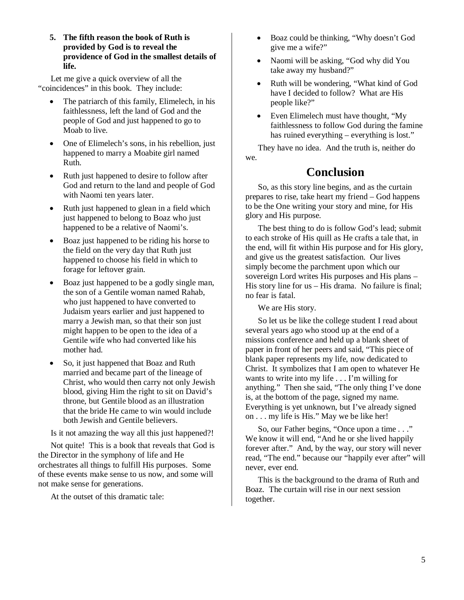**5. The fifth reason the book of Ruth is provided by God is to reveal the providence of God in the smallest details of life.** 

Let me give a quick overview of all the "coincidences" in this book. They include:

- The patriarch of this family, Elimelech, in his faithlessness, left the land of God and the people of God and just happened to go to Moab to live.
- One of Elimelech's sons, in his rebellion, just happened to marry a Moabite girl named Ruth.
- Ruth just happened to desire to follow after God and return to the land and people of God with Naomi ten years later.
- Ruth just happened to glean in a field which just happened to belong to Boaz who just happened to be a relative of Naomi's.
- Boaz just happened to be riding his horse to the field on the very day that Ruth just happened to choose his field in which to forage for leftover grain.
- Boaz just happened to be a godly single man, the son of a Gentile woman named Rahab, who just happened to have converted to Judaism years earlier and just happened to marry a Jewish man, so that their son just might happen to be open to the idea of a Gentile wife who had converted like his mother had.
- So, it just happened that Boaz and Ruth married and became part of the lineage of Christ, who would then carry not only Jewish blood, giving Him the right to sit on David's throne, but Gentile blood as an illustration that the bride He came to win would include both Jewish and Gentile believers.

Is it not amazing the way all this just happened?!

Not quite! This is a book that reveals that God is the Director in the symphony of life and He orchestrates all things to fulfill His purposes. Some of these events make sense to us now, and some will not make sense for generations.

At the outset of this dramatic tale:

- Boaz could be thinking, "Why doesn't God give me a wife?"
- Naomi will be asking, "God why did You take away my husband?"
- Ruth will be wondering, "What kind of God have I decided to follow? What are His people like?"
- Even Elimelech must have thought, "My faithlessness to follow God during the famine has ruined everything – everything is lost."

They have no idea. And the truth is, neither do we.

# **Conclusion**

So, as this story line begins, and as the curtain prepares to rise, take heart my friend – God happens to be the One writing your story and mine, for His glory and His purpose.

The best thing to do is follow God's lead; submit to each stroke of His quill as He crafts a tale that, in the end, will fit within His purpose and for His glory, and give us the greatest satisfaction. Our lives simply become the parchment upon which our sovereign Lord writes His purposes and His plans – His story line for us – His drama. No failure is final; no fear is fatal.

We are His story.

So let us be like the college student I read about several years ago who stood up at the end of a missions conference and held up a blank sheet of paper in front of her peers and said, "This piece of blank paper represents my life, now dedicated to Christ. It symbolizes that I am open to whatever He wants to write into my life . . . I'm willing for anything." Then she said, "The only thing I've done is, at the bottom of the page, signed my name. Everything is yet unknown, but I've already signed on . . . my life is His." May we be like her!

So, our Father begins, "Once upon a time . . ." We know it will end, "And he or she lived happily forever after." And, by the way, our story will never read, "The end." because our "happily ever after" will never, ever end.

This is the background to the drama of Ruth and Boaz. The curtain will rise in our next session together.